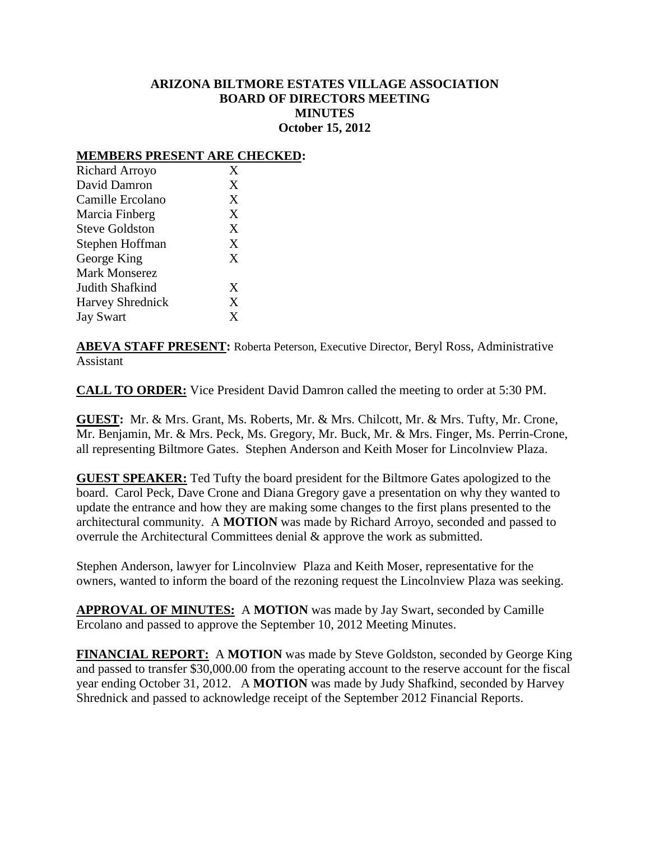## **ARIZONA BILTMORE ESTATES VILLAGE ASSOCIATION BOARD OF DIRECTORS MEETING MINUTES October 15, 2012**

## **MEMBERS PRESENT ARE CHECKED:**

| Richard Arroyo          | X |
|-------------------------|---|
| David Damron            | X |
| Camille Ercolano        | X |
| Marcia Finberg          | X |
| <b>Steve Goldston</b>   | X |
| Stephen Hoffman         | X |
| George King             | X |
| Mark Monserez           |   |
| Judith Shafkind         | X |
| <b>Harvey Shrednick</b> | X |
| <b>Jay Swart</b>        | X |

**ABEVA STAFF PRESENT:** Roberta Peterson, Executive Director, Beryl Ross, Administrative Assistant

**CALL TO ORDER:** Vice President David Damron called the meeting to order at 5:30 PM.

**GUEST:** Mr. & Mrs. Grant, Ms. Roberts, Mr. & Mrs. Chilcott, Mr. & Mrs. Tufty, Mr. Crone, Mr. Benjamin, Mr. & Mrs. Peck, Ms. Gregory, Mr. Buck, Mr. & Mrs. Finger, Ms. Perrin-Crone, all representing Biltmore Gates. Stephen Anderson and Keith Moser for Lincolnview Plaza.

**GUEST SPEAKER:** Ted Tufty the board president for the Biltmore Gates apologized to the board. Carol Peck, Dave Crone and Diana Gregory gave a presentation on why they wanted to update the entrance and how they are making some changes to the first plans presented to the architectural community. A **MOTION** was made by Richard Arroyo, seconded and passed to overrule the Architectural Committees denial & approve the work as submitted.

Stephen Anderson, lawyer for Lincolnview Plaza and Keith Moser, representative for the owners, wanted to inform the board of the rezoning request the Lincolnview Plaza was seeking.

**APPROVAL OF MINUTES:** A **MOTION** was made by Jay Swart, seconded by Camille Ercolano and passed to approve the September 10, 2012 Meeting Minutes.

**FINANCIAL REPORT:** A **MOTION** was made by Steve Goldston, seconded by George King and passed to transfer \$30,000.00 from the operating account to the reserve account for the fiscal year ending October 31, 2012. A **MOTION** was made by Judy Shafkind, seconded by Harvey Shrednick and passed to acknowledge receipt of the September 2012 Financial Reports.